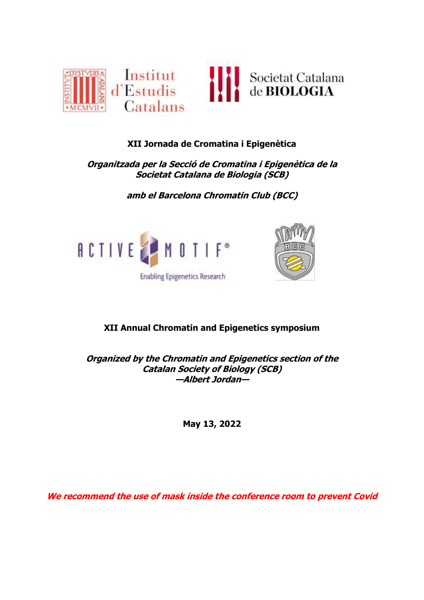

# **XII Jornada de Cromatina i Epigenètica**

# **Organitzada per la Secció de Cromatina i Epigenètica de la Societat Catalana de Biologia (SCB)**

**amb el Barcelona Chromatin Club (BCC)**





# **XII Annual Chromatin and Epigenetics symposium**

**Organized by the Chromatin and Epigenetics section of the Catalan Society of Biology (SCB) —Albert Jordan—**

**May 13, 2022**

**We recommend the use of mask inside the conference room to prevent Covid**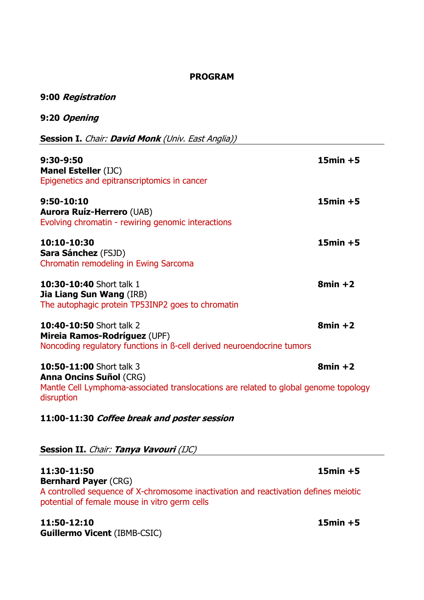## **PROGRAM**

# **9:00 Registration**

# **9:20 Opening**

**Session I.** Chair: **David Monk** (Univ. East Anglia))

| $9:30-9:50$<br><b>Manel Esteller (IJC)</b><br>Epigenetics and epitranscriptomics in cancer                                                                       | $15min + 5$ |
|------------------------------------------------------------------------------------------------------------------------------------------------------------------|-------------|
| 9:50-10:10<br><b>Aurora Ruíz-Herrero (UAB)</b><br>Evolving chromatin - rewiring genomic interactions                                                             | $15min + 5$ |
| 10:10-10:30<br><b>Sara Sánchez</b> (FSJD)<br>Chromatin remodeling in Ewing Sarcoma                                                                               | $15min + 5$ |
| <b>10:30-10:40</b> Short talk 1<br><b>Jia Liang Sun Wang (IRB)</b><br>The autophagic protein TP53INP2 goes to chromatin                                          | $8min + 2$  |
| <b>10:40-10:50 Short talk 2</b><br><b>Mireia Ramos-Rodríguez (UPF)</b><br>Noncoding regulatory functions in β-cell derived neuroendocrine tumors                 | $8min + 2$  |
| 10:50-11:00 Short talk 3<br><b>Anna Oncins Suñol (CRG)</b><br>Mantle Cell Lymphoma-associated translocations are related to global genome topology<br>disruption | $8min + 2$  |

# **11:00-11:30 Coffee break and poster session**

# Session II. *Chair: Tanya Vavouri (IJC)*

# **11:30-11:50 15min +5 Bernhard Payer** (CRG) A controlled sequence of X-chromosome inactivation and reactivation defines meiotic potential of female mouse in vitro germ cells

# **11:50-12:10 15min +5 Guillermo Vicent** (IBMB-CSIC)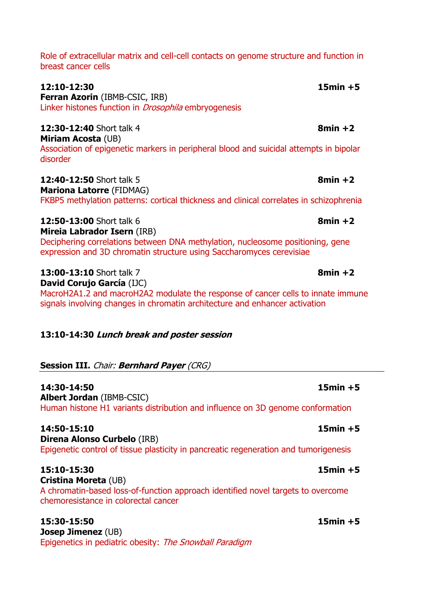Role of extracellular matrix and cell-cell contacts on genome structure and function in breast cancer cells

**12:10-12:30 15min +5 Ferran Azorin** (IBMB-CSIC, IRB) Linker histones function in *Drosophila* embryogenesis **12:30-12:40** Short talk 4 **8min +2 Miriam Acosta** (UB) Association of epigenetic markers in peripheral blood and suicidal attempts in bipolar

**12:40-12:50** Short talk 5 **8min +2 Mariona Latorre** (FIDMAG)

FKBP5 methylation patterns: cortical thickness and clinical correlates in schizophrenia

**12:50-13:00** Short talk 6 **8min +2 Mireia Labrador Isern** (IRB) Deciphering correlations between DNA methylation, nucleosome positioning, gene expression and 3D chromatin structure using Saccharomyces cerevisiae

**13:00-13:10** Short talk 7 **8min +2 David Corujo García** (IJC) MacroH2A1.2 and macroH2A2 modulate the response of cancer cells to innate immune signals involving changes in chromatin architecture and enhancer activation

## **13:10-14:30 Lunch break and poster session**

## **Session III.** Chair: **Bernhard Payer** (CRG)

**14:30-14:50 15min +5 Albert Jordan** (IBMB-CSIC) Human histone H1 variants distribution and influence on 3D genome conformation

**14:50-15:10 15min +5 Direna Alonso Curbelo** (IRB) Epigenetic control of tissue plasticity in pancreatic regeneration and tumorigenesis

**15:10-15:30 15min +5 Cristina Moreta** (UB) A chromatin-based loss-of-function approach identified novel targets to overcome chemoresistance in colorectal cancer

**15:30-15:50 15min +5 Josep Jimenez** (UB) Epigenetics in pediatric obesity: The Snowball Paradigm

disorder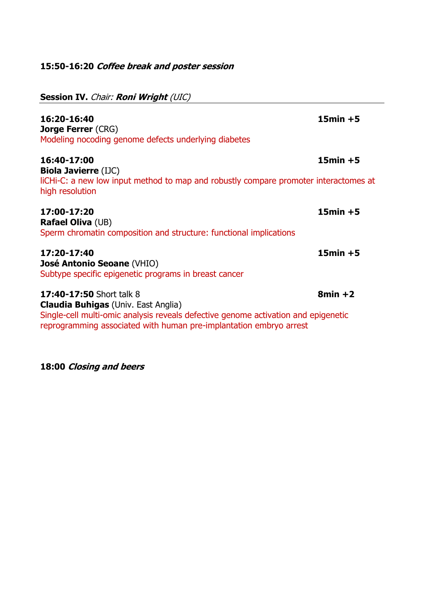# **15:50-16:20 Coffee break and poster session**

| <b>Session IV. Chair: Roni Wright (UIC)</b>                                                                                                                                                                                               |             |
|-------------------------------------------------------------------------------------------------------------------------------------------------------------------------------------------------------------------------------------------|-------------|
| 16:20-16:40<br><b>Jorge Ferrer (CRG)</b><br>Modeling nocoding genome defects underlying diabetes                                                                                                                                          | $15min + 5$ |
| 16:40-17:00<br><b>Biola Javierre (IJC)</b><br>liCHi-C: a new low input method to map and robustly compare promoter interactomes at<br>high resolution                                                                                     | $15min + 5$ |
| 17:00-17:20<br><b>Rafael Oliva (UB)</b><br>Sperm chromatin composition and structure: functional implications                                                                                                                             | $15min + 5$ |
| 17:20-17:40<br><b>José Antonio Seoane (VHIO)</b><br>Subtype specific epigenetic programs in breast cancer                                                                                                                                 | $15min + 5$ |
| <b>17:40-17:50 Short talk 8</b><br><b>Claudia Buhigas</b> (Univ. East Anglia)<br>Single-cell multi-omic analysis reveals defective genome activation and epigenetic<br>reprogramming associated with human pre-implantation embryo arrest | $8min + 2$  |

**18:00 Closing and beers**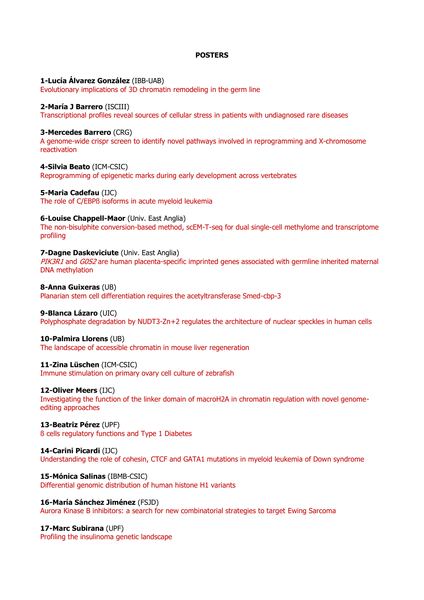### **POSTERS**

### **1-Lucía Álvarez González** (IBB-UAB)

Evolutionary implications of 3D chromatin remodeling in the germ line

### **2-María J Barrero** (ISCIII)

Transcriptional profiles reveal sources of cellular stress in patients with undiagnosed rare diseases

#### **3-Mercedes Barrero** (CRG)

A genome-wide crispr screen to identify novel pathways involved in reprogramming and X-chromosome reactivation

**4-Silvia Beato** (ICM-CSIC)

Reprogramming of epigenetic marks during early development across vertebrates

#### **5-Maria Cadefau** (IJC)

The role of C/EBPß isoforms in acute myeloid leukemia

#### **6-Louise Chappell-Maor** (Univ. East Anglia)

The non-bisulphite conversion-based method, scEM-T-seq for dual single-cell methylome and transcriptome profiling

### **7-Dagne Daskeviciute** (Univ. East Anglia)

PIK3R1 and G0S2 are human placenta-specific imprinted genes associated with germline inherited maternal DNA methylation

**8-Anna Guixeras** (UB)

Planarian stem cell differentiation requires the acetyltransferase Smed-cbp-3

### **9-Blanca Lázaro** (UIC)

Polyphosphate degradation by NUDT3-Zn+2 regulates the architecture of nuclear speckles in human cells

### **10-Palmira Llorens** (UB)

The landscape of accessible chromatin in mouse liver regeneration

### **11-Zina Lüschen** (ICM-CSIC)

Immune stimulation on primary ovary cell culture of zebrafish

#### **12-Oliver Meers** (IJC)

Investigating the function of the linker domain of macroH2A in chromatin regulation with novel genomeediting approaches

**13-Beatriz Pérez** (UPF) ß cells regulatory functions and Type 1 Diabetes

#### **14-Carini Picardi** (IJC) Understanding the role of cohesin, CTCF and GATA1 mutations in myeloid leukemia of Down syndrome

**15-Mónica Salinas** (IBMB-CSIC) Differential genomic distribution of human histone H1 variants

## **16-María Sánchez Jiménez** (FSJD) Aurora Kinase B inhibitors: a search for new combinatorial strategies to target Ewing Sarcoma

**17-Marc Subirana** (UPF) Profiling the insulinoma genetic landscape